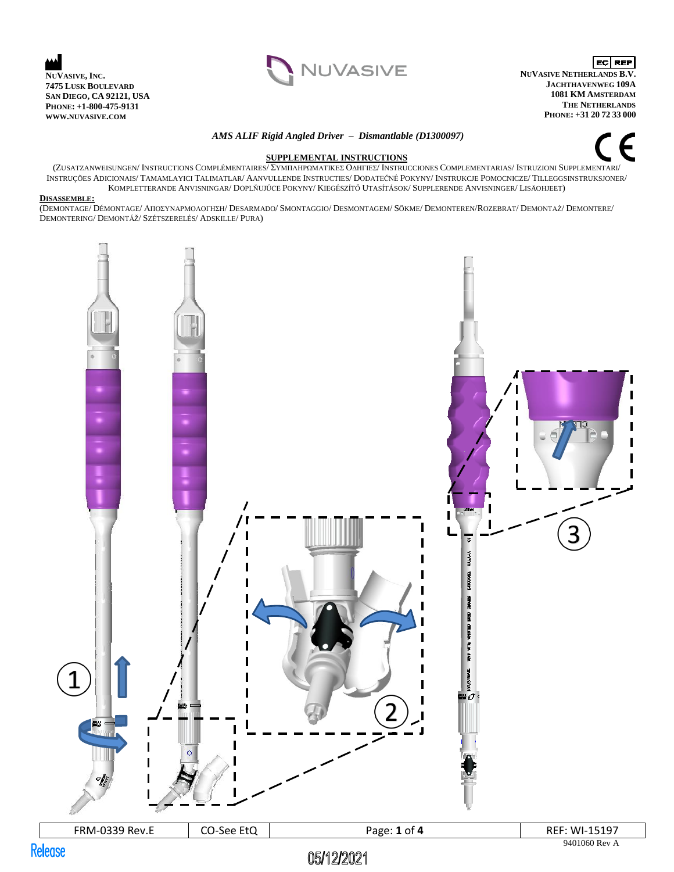



EC REP **NUVASIVE NETHERLANDS B.V. JACHTHAVENWEG 109A 1081 KM AMSTERDAM THE NETHERLANDS PHONE: +31 20 72 33 000**

#### *AMS ALIF Rigid Angled Driver – Dismantlable (D1300097)*



## **SUPPLEMENTAL INSTRUCTIONS**

(ZUSATZANWEISUNGEN/ INSTRUCTIONS COMPLÉMENTAIRES/ ΣΥΜΠΛΗΡΩΜΑΤΙΚΕΣ ΟΔΗΓΙΕΣ/ INSTRUCCIONES COMPLEMENTARIAS/ ISTRUZIONI SUPPLEMENTARI/ INSTRUÇÕES ADICIONAIS/ TAMAMLAYICI TALIMATLAR/ AANVULLENDE INSTRUCTIES/ DODATEČNÉ POKYNY/ INSTRUKCJE POMOCNICZE/ TILLEGGSINSTRUKSJONER/ KOMPLETTERANDE ANVISNINGAR/ DOPLŇUJÚCE POKYNY/ KIEGÉSZÍTŐ UTASÍTÁSOK/ SUPPLERENDE ANVISNINGER/ LISÄOHJEET)

### **DISASSEMBLE:**

(DEMONTAGE/ DÉMONTAGE/ ΑΠΟΣΥΝΑΡΜΟΛΟΓΗΣΗ/ DESARMADO/ SMONTAGGIO/ DESMONTAGEM/ SÖKME/ DEMONTEREN/ROZEBRAT/ DEMONTAŻ/ DEMONTERE/ DEMONTERING/ DEMONTÁŽ/ SZÉTSZERELÉS/ ADSKILLE/ PURA)

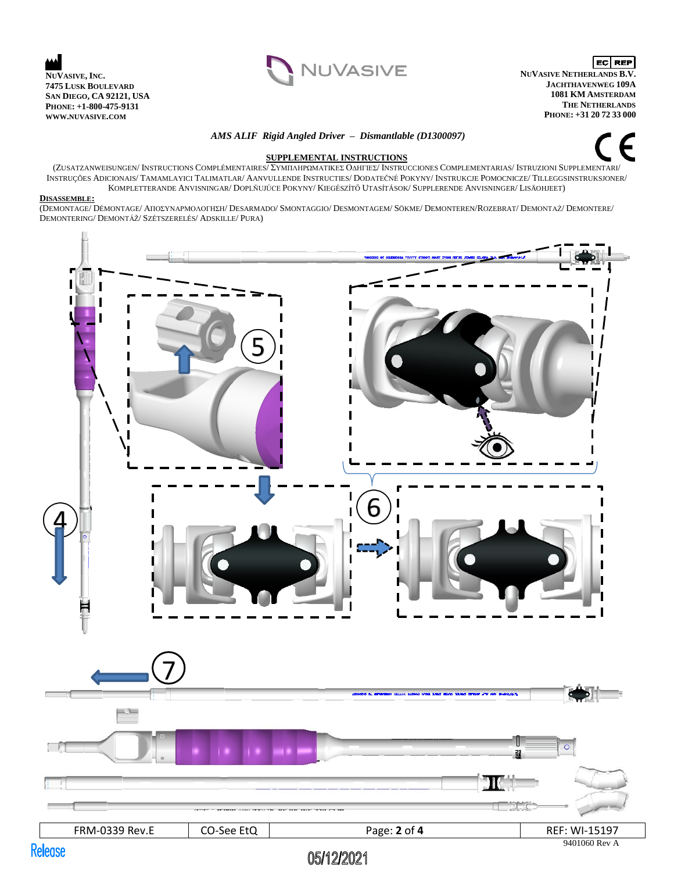



**EC** REP **NUVASIVE NETHERLANDS B.V. JACHTHAVENWEG 109A 1081 KM AMSTERDAM THE NETHERLANDS PHONE: +31 20 72 33 000**

#### *AMS ALIF Rigid Angled Driver – Dismantlable (D1300097)*



### **SUPPLEMENTAL INSTRUCTIONS**

(ZUSATZANWEISUNGEN/ INSTRUCTIONS COMPLÉMENTAIRES/ ΣΥΜΠΛΗΡΩΜΑΤΙΚΕΣ ΟΔΗΓΙΕΣ/ INSTRUCCIONES COMPLEMENTARIAS/ ISTRUZIONI SUPPLEMENTARI/ INSTRUÇÕES ADICIONAIS/ TAMAMLAYICI TALIMATLAR/ AANVULLENDE INSTRUCTIES/ DODATEČNÉ POKYNY/ INSTRUKCJE POMOCNICZE/ TILLEGGSINSTRUKSJONER/ KOMPLETTERANDE ANVISNINGAR/ DOPLŇUJÚCE POKYNY/ KIEGÉSZÍTŐ UTASÍTÁSOK/ SUPPLERENDE ANVISNINGER/ LISÄOHJEET)

#### **DISASSEMBLE:**

(DEMONTAGE/ DÉMONTAGE/ ΑΠΟΣΥΝΑΡΜΟΛΟΓΗΣΗ/ DESARMADO/ SMONTAGGIO/ DESMONTAGEM/ SÖKME/ DEMONTEREN/ROZEBRAT/ DEMONTAŻ/ DEMONTERE/ DEMONTERING/ DEMONTÁŽ/ SZÉTSZERELÉS/ ADSKILLE/ PURA)

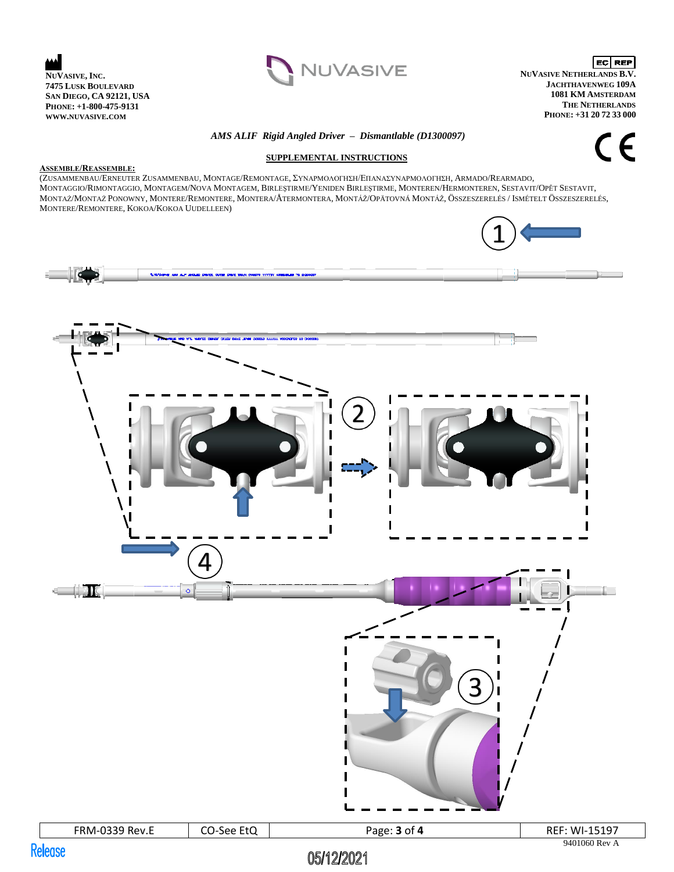



**EC** REP **NUVASIVE NETHERLANDS B.V. JACHTHAVENWEG 109A 1081 KM AMSTERDAM THE NETHERLANDS PHONE: +31 20 72 33 000**

# *AMS ALIF Rigid Angled Driver – Dismantlable (D1300097)*  **SUPPLEMENTAL INSTRUCTIONS**

CE

### **ASSEMBLE/REASSEMBLE:**

(ZUSAMMENBAU/ERNEUTER ZUSAMMENBAU, MONTAGE/REMONTAGE, ΣΥΝΑΡΜΟΛΟΓΗΣΗ/ΕΠΑΝΑΣΥΝΑΡΜΟΛΟΓΗΣΗ, ARMADO/REARMADO, MONTAGGIO/RIMONTAGGIO, MONTAGEM/NOVA MONTAGEM, BIRLEŞTIRME/YENIDEN BIRLEŞTIRME, MONTEREN/HERMONTEREN, SESTAVIT/OPĚT SESTAVIT, MONTAŻ/MONTAŻ PONOWNY, MONTERE/REMONTERE, MONTERA/ÅTERMONTERA, MONTÁŽ/OPÄTOVNÁ MONTÁŽ, ÖSSZESZERELÉS / ISMÉTELT ÖSSZESZERELÉS, MONTERE/REMONTERE, KOKOA/KOKOA UUDELLEEN)